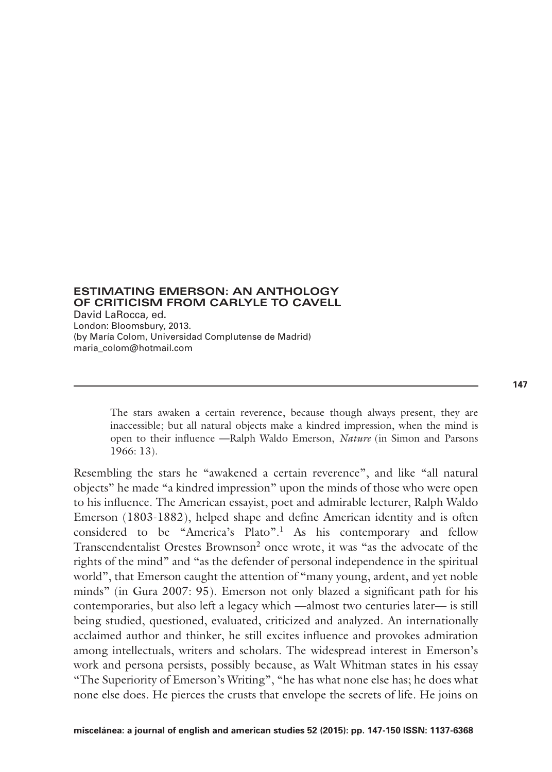### **ESTIMATING EMERSON: AN ANTHOLOGY OF CRITICISM FROM CARLYLE TO CAVELL**  David LaRocca, ed.

London: Bloomsbury, 2013. (by María Colom, Universidad Complutense de Madrid) maria\_colom@hotmail.com

> The stars awaken a certain reverence, because though always present, they are inaccessible; but all natural objects make a kindred impression, when the mind is open to their influence **—**Ralph Waldo Emerson, *Nature* (in Simon and Parsons 1966: 13).

Resembling the stars he "awakened a certain reverence", and like "all natural objects" he made "a kindred impression" upon the minds of those who were open to his influence. The American essayist, poet and admirable lecturer, Ralph Waldo Emerson (1803-1882), helped shape and define American identity and is often considered to be "America's Plato".1 As his contemporary and fellow Transcendentalist Orestes Brownson2 once wrote, it was "as the advocate of the rights of the mind" and "as the defender of personal independence in the spiritual world", that Emerson caught the attention of "many young, ardent, and yet noble minds" (in Gura 2007: 95). Emerson not only blazed a significant path for his contemporaries, but also left a legacy which **—**almost two centuries later**—** is still being studied, questioned, evaluated, criticized and analyzed. An internationally acclaimed author and thinker, he still excites influence and provokes admiration among intellectuals, writers and scholars. The widespread interest in Emerson's work and persona persists, possibly because, as Walt Whitman states in his essay "The Superiority of Emerson's Writing", "he has what none else has; he does what none else does. He pierces the crusts that envelope the secrets of life. He joins on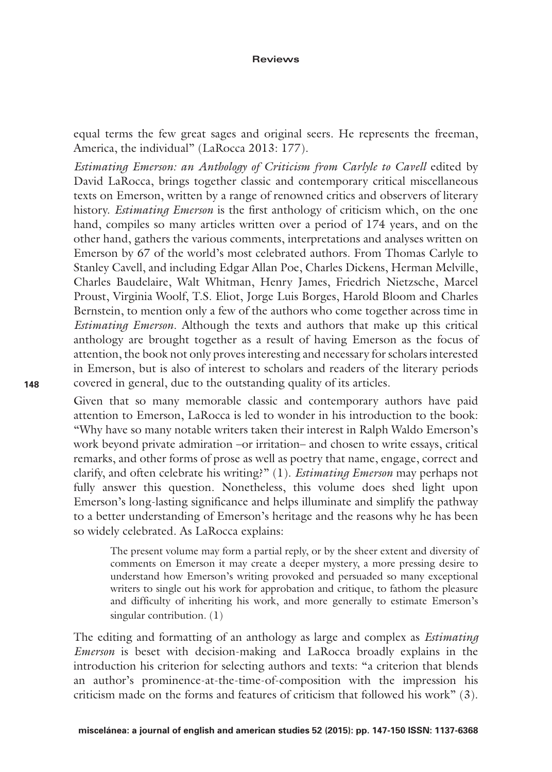#### **Reviews**

equal terms the few great sages and original seers. He represents the freeman, America, the individual" (LaRocca 2013: 177).

*Estimating Emerson: an Anthology of Criticism from Carlyle to Cavell* edited by David LaRocca, brings together classic and contemporary critical miscellaneous texts on Emerson, written by a range of renowned critics and observers of literary history. *Estimating Emerson* is the first anthology of criticism which, on the one hand, compiles so many articles written over a period of 174 years, and on the other hand, gathers the various comments, interpretations and analyses written on Emerson by 67 of the world's most celebrated authors. From Thomas Carlyle to Stanley Cavell, and including Edgar Allan Poe, Charles Dickens, Herman Melville, Charles Baudelaire, Walt Whitman, Henry James, Friedrich Nietzsche, Marcel Proust, Virginia Woolf, T.S. Eliot, Jorge Luis Borges, Harold Bloom and Charles Bernstein, to mention only a few of the authors who come together across time in *Estimating Emerson*. Although the texts and authors that make up this critical anthology are brought together as a result of having Emerson as the focus of attention, the book not only proves interesting and necessary for scholars interested in Emerson, but is also of interest to scholars and readers of the literary periods covered in general, due to the outstanding quality of its articles.

Given that so many memorable classic and contemporary authors have paid attention to Emerson, LaRocca is led to wonder in his introduction to the book: "Why have so many notable writers taken their interest in Ralph Waldo Emerson's work beyond private admiration –or irritation– and chosen to write essays, critical remarks, and other forms of prose as well as poetry that name, engage, correct and clarify, and often celebrate his writing?" (1). *Estimating Emerson* may perhaps not fully answer this question. Nonetheless, this volume does shed light upon Emerson's long-lasting significance and helps illuminate and simplify the pathway to a better understanding of Emerson's heritage and the reasons why he has been so widely celebrated. As LaRocca explains:

The present volume may form a partial reply, or by the sheer extent and diversity of comments on Emerson it may create a deeper mystery, a more pressing desire to understand how Emerson's writing provoked and persuaded so many exceptional writers to single out his work for approbation and critique, to fathom the pleasure and difficulty of inheriting his work, and more generally to estimate Emerson's singular contribution. (1)

The editing and formatting of an anthology as large and complex as *Estimating Emerson* is beset with decision-making and LaRocca broadly explains in the introduction his criterion for selecting authors and texts: "a criterion that blends an author's prominence-at-the-time-of-composition with the impression his criticism made on the forms and features of criticism that followed his work" (3).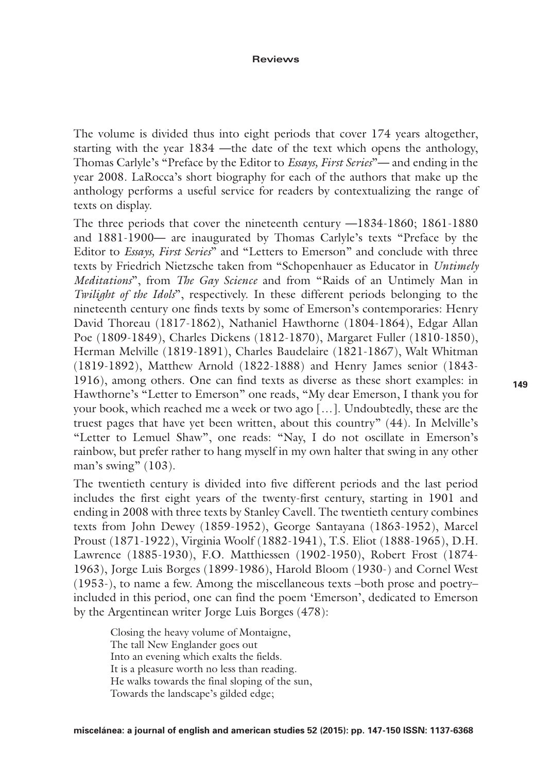#### **Reviews**

The volume is divided thus into eight periods that cover 174 years altogether, starting with the year 1834 **—**the date of the text which opens the anthology, Thomas Carlyle's "Preface by the Editor to *Essays, First Series*"**—** and ending in the year 2008. LaRocca's short biography for each of the authors that make up the anthology performs a useful service for readers by contextualizing the range of texts on display.

The three periods that cover the nineteenth century **—**1834-1860; 1861-1880 and 1881-1900**—** are inaugurated by Thomas Carlyle's texts "Preface by the Editor to *Essays, First Series*" and "Letters to Emerson" and conclude with three texts by Friedrich Nietzsche taken from "Schopenhauer as Educator in *Untimely Meditations*", from *The Gay Science* and from "Raids of an Untimely Man in *Twilight of the Idols*", respectively. In these different periods belonging to the nineteenth century one finds texts by some of Emerson's contemporaries: Henry David Thoreau (1817-1862), Nathaniel Hawthorne (1804-1864), Edgar Allan Poe (1809-1849), Charles Dickens (1812-1870), Margaret Fuller (1810-1850), Herman Melville (1819-1891), Charles Baudelaire (1821-1867), Walt Whitman (1819-1892), Matthew Arnold (1822-1888) and Henry James senior (1843- 1916), among others. One can find texts as diverse as these short examples: in Hawthorne's "Letter to Emerson" one reads, "My dear Emerson, I thank you for your book, which reached me a week or two ago […]. Undoubtedly, these are the truest pages that have yet been written, about this country" (44). In Melville's "Letter to Lemuel Shaw", one reads: "Nay, I do not oscillate in Emerson's rainbow, but prefer rather to hang myself in my own halter that swing in any other man's swing" (103).

The twentieth century is divided into five different periods and the last period includes the first eight years of the twenty-first century, starting in 1901 and ending in 2008 with three texts by Stanley Cavell. The twentieth century combines texts from John Dewey (1859-1952), George Santayana (1863-1952), Marcel Proust (1871-1922), Virginia Woolf (1882-1941), T.S. Eliot (1888-1965), D.H. Lawrence (1885-1930), F.O. Matthiessen (1902-1950), Robert Frost (1874- 1963), Jorge Luis Borges (1899-1986), Harold Bloom (1930-) and Cornel West (1953-), to name a few. Among the miscellaneous texts –both prose and poetry– included in this period, one can find the poem 'Emerson', dedicated to Emerson by the Argentinean writer Jorge Luis Borges (478):

Closing the heavy volume of Montaigne, The tall New Englander goes out Into an evening which exalts the fields. It is a pleasure worth no less than reading. He walks towards the final sloping of the sun, Towards the landscape's gilded edge;